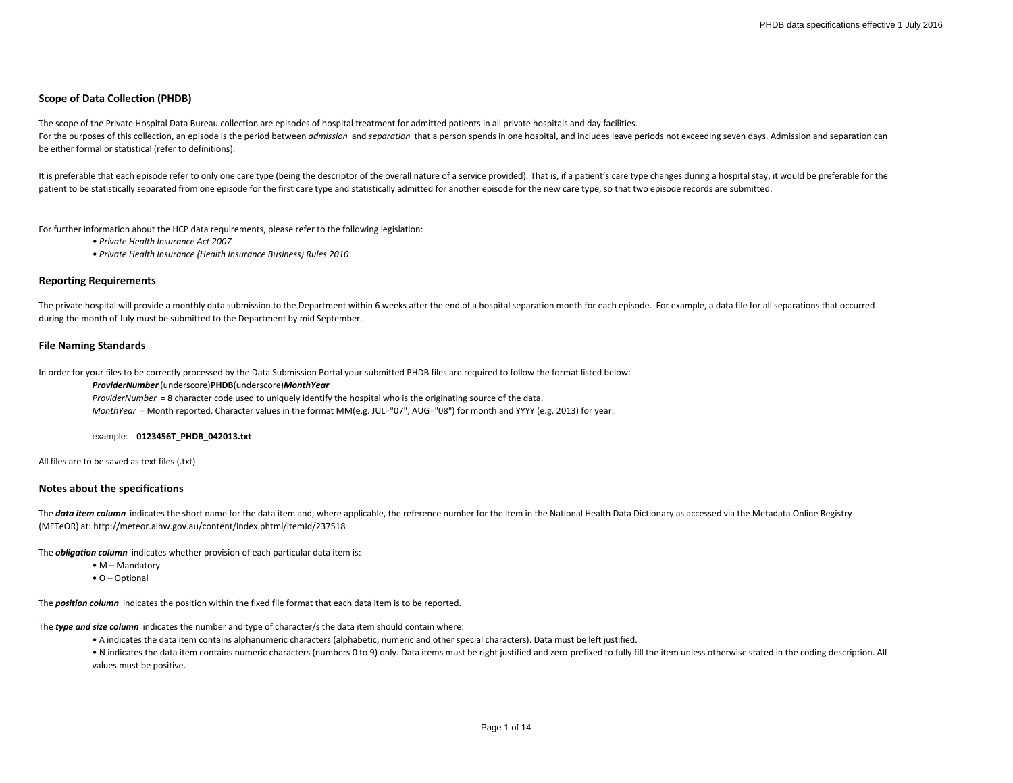# **Scope of Data Collection (PHDB)**

The scope of the Private Hospital Data Bureau collection are episodes of hospital treatment for admitted patients in all private hospitals and day facilities. For the purposes of this collection, an episode is the period between admission and separation that a person spends in one hospital, and includes leave periods not exceeding seven days. Admission and separation can be either formal or statistical (refer to definitions).

It is preferable that each episode refer to only one care type (being the descriptor of the overall nature of a service provided). That is, if a patient's care type changes during a hospital stay, it would be preferable fo patient to be statistically separated from one episode for the first care type and statistically admitted for another episode for the new care type, so that two episode records are submitted.

For further information about the HCP data requirements, please refer to the following legislation:

*• Private Health Insurance Act 2007*

*• Private Health Insurance (Health Insurance Business) Rules 2010*

#### **Reporting Requirements**

The private hospital will provide a monthly data submission to the Department within 6 weeks after the end of a hospital separation month for each episode. For example, a data file for all separations that occurred during the month of July must be submitted to the Department by mid September.

## **File Naming Standards**

In order for your files to be correctly processed by the Data Submission Portal your submitted PHDB files are required to follow the format listed below:

#### *ProviderNumber* (underscore)**PHDB**(underscore)*MonthYear*

*ProviderNumber* = 8 character code used to uniquely identify the hospital who is the originating source of the data. *MonthYear* = Month reported. Character values in the format MM(e.g. JUL="07", AUG="08") for month and YYYY (e.g. 2013) for year.

#### example: **0123456T\_PHDB\_042013.txt**

All files are to be saved as text files (.txt)

## **Notes about the specifications**

The **data item column** indicates the short name for the data item and, where applicable, the reference number for the item in the National Health Data Dictionary as accessed via the Metadata Online Registry (METeOR) at: http://meteor.aihw.gov.au/content/index.phtml/itemId/237518

The *obligation column* indicates whether provision of each particular data item is:

- M Mandatory
- O Optional

The *position column* indicates the position within the fixed file format that each data item is to be reported.

The *type and size column* indicates the number and type of character/s the data item should contain where:

• A indicates the data item contains alphanumeric characters (alphabetic, numeric and other special characters). Data must be left justified.

• N indicates the data item contains numeric characters (numbers 0 to 9) only. Data items must be right justified and zero-prefixed to fully fill the item unless otherwise stated in the coding description. All values must be positive.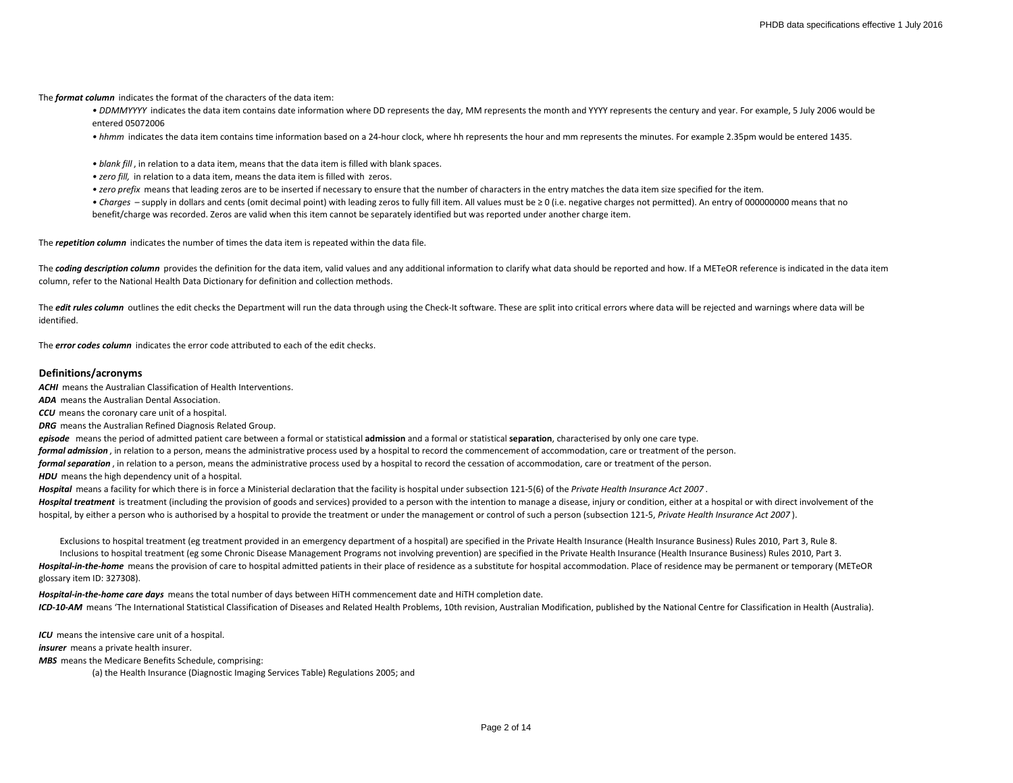The *format column* indicates the format of the characters of the data item:

• DDMMYYYY indicates the data item contains date information where DD represents the day, MM represents the month and YYYY represents the century and year. For example, 5 July 2006 would be entered 05072006

*• hhmm* indicates the data item contains time information based on a 24-hour clock, where hh represents the hour and mm represents the minutes. For example 2.35pm would be entered 1435.

*• blank fill* , in relation to a data item, means that the data item is filled with blank spaces.

- *zero fill,* in relation to a data item, means the data item is filled with zeros.
- *zero prefix* means that leading zeros are to be inserted if necessary to ensure that the number of characters in the entry matches the data item size specified for the item.

*• Charges* – supply in dollars and cents (omit decimal point) with leading zeros to fully fill item. All values must be ≥ 0 (i.e. negative charges not permitted). An entry of 000000000 means that no benefit/charge was recorded. Zeros are valid when this item cannot be separately identified but was reported under another charge item.

The *repetition column* indicates the number of times the data item is repeated within the data file.

The **coding description column** provides the definition for the data item, valid values and any additional information to clarify what data should be reported and how. If a METeOR reference is indicated in the data item column, refer to the National Health Data Dictionary for definition and collection methods.

The *edit rules column* outlines the edit checks the Department will run the data through using the Check-It software. These are split into critical errors where data will be rejected and warnings where data will be identified.

The *error codes column* indicates the error code attributed to each of the edit checks.

# **Definitions/acronyms**

*ACHI* means the Australian Classification of Health Interventions.

*ADA* means the Australian Dental Association.

*CCU* means the coronary care unit of a hospital.

*DRG* means the Australian Refined Diagnosis Related Group.

*episode* means the period of admitted patient care between a formal or statistical **admission** and a formal or statistical **separation**, characterised by only one care type.

*formal admission* , in relation to a person, means the administrative process used by a hospital to record the commencement of accommodation, care or treatment of the person.

*formal separation* , in relation to a person, means the administrative process used by a hospital to record the cessation of accommodation, care or treatment of the person.

**HDU** means the high dependency unit of a hospital.

*Hospital* means a facility for which there is in force a Ministerial declaration that the facility is hospital under subsection 121-5(6) of the *Private Health Insurance Act 2007* .

Hospital treatment is treatment (including the provision of goods and services) provided to a person with the intention to manage a disease, injury or condition, either at a hospital or with direct involvement of the hospital, by either a person who is authorised by a hospital to provide the treatment or under the management or control of such a person (subsection 121-5, *Private Health Insurance Act 2007* ).

Hospital-in-the-home means the provision of care to hospital admitted patients in their place of residence as a substitute for hospital accommodation. Place of residence may be permanent or temporary (METeOR glossary item ID: 327308). Inclusions to hospital treatment (eg some Chronic Disease Management Programs not involving prevention) are specified in the Private Health Insurance (Health Insurance Business) Rules 2010, Part 3. Exclusions to hospital treatment (eg treatment provided in an emergency department of a hospital) are specified in the Private Health Insurance (Health Insurance Business) Rules 2010, Part 3, Rule 8.

*ICD-10-AM* means 'The International Statistical Classification of Diseases and Related Health Problems, 10th revision, Australian Modification, published by the National Centre for Classification in Health (Australia). *Hospital-in-the-home care days* means the total number of days between HiTH commencement date and HiTH completion date.

*ICU* means the intensive care unit of a hospital. *insurer* means a private health insurer.

*MBS* means the Medicare Benefits Schedule, comprising:

(a) the Health Insurance (Diagnostic Imaging Services Table) Regulations 2005; and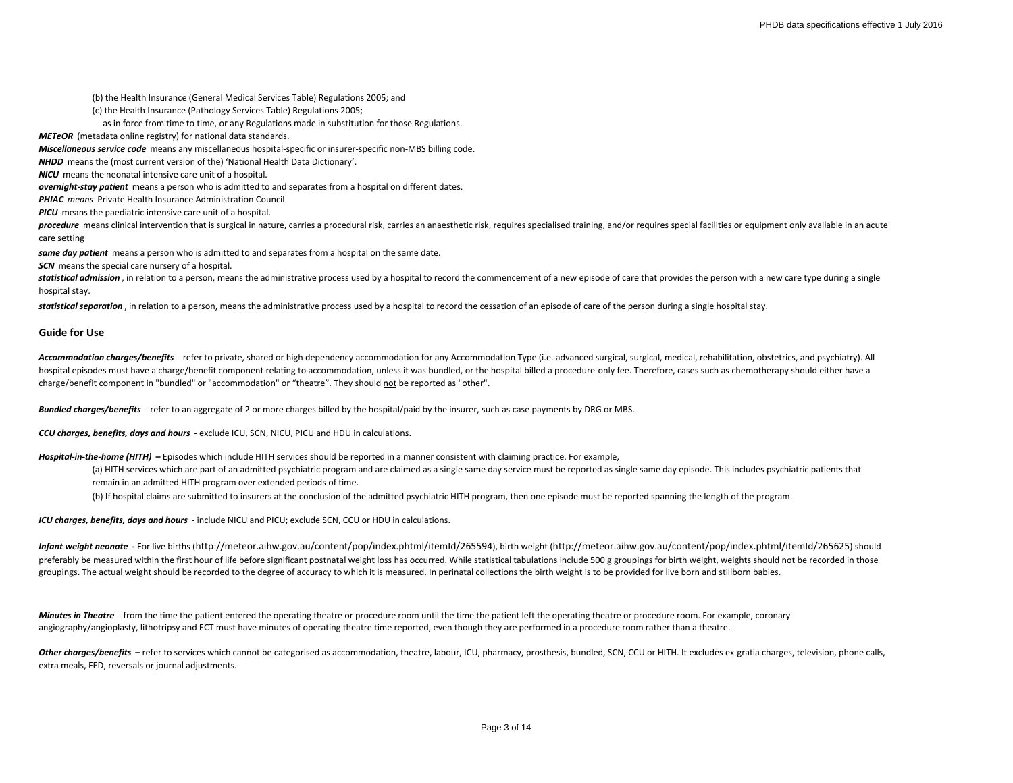(b) the Health Insurance (General Medical Services Table) Regulations 2005; and

(c) the Health Insurance (Pathology Services Table) Regulations 2005;

as in force from time to time, or any Regulations made in substitution for those Regulations.

*METeOR* (metadata online registry) for national data standards.

*Miscellaneous service code* means any miscellaneous hospital-specific or insurer-specific non-MBS billing code.

*NHDD* means the (most current version of the) 'National Health Data Dictionary'.

*NICU* means the neonatal intensive care unit of a hospital.

*overnight-stay patient* means a person who is admitted to and separates from a hospital on different dates.

*PHIAC means* Private Health Insurance Administration Council

*PICU* means the paediatric intensive care unit of a hospital.

procedure means clinical intervention that is surgical in nature, carries a procedural risk, carries an anaesthetic risk, requires specialised training, and/or requires special facilities or equipment only available in an care setting

*same day patient* means a person who is admitted to and separates from a hospital on the same date.

**SCN** means the special care nursery of a hospital.

statistical admission, in relation to a person, means the administrative process used by a hospital to record the commencement of a new episode of care that provides the person with a new care type during a single hospital stay.

statistical separation, in relation to a person, means the administrative process used by a hospital to record the cessation of an episode of care of the person during a single hospital stay.

#### **Guide for Use**

Accommodation charges/benefits - refer to private, shared or high dependency accommodation for any Accommodation Type (i.e. advanced surgical, surgical, medical, rehabilitation, obstetrics, and psychiatry). All hospital episodes must have a charge/benefit component relating to accommodation, unless it was bundled, or the hospital billed a procedure-only fee. Therefore, cases such as chemotherapy should either have a charge/benefit component in "bundled" or "accommodation" or "theatre". They should not be reported as "other".

*Bundled charges/benefits* - refer to an aggregate of 2 or more charges billed by the hospital/paid by the insurer, such as case payments by DRG or MBS.

*CCU charges, benefits, days and hours* - exclude ICU, SCN, NICU, PICU and HDU in calculations.

Hospital-in-the-home (HITH) - Episodes which include HITH services should be reported in a manner consistent with claiming practice. For example,

(a) HITH services which are part of an admitted psychiatric program and are claimed as a single same day service must be reported as single same day episode. This includes psychiatric patients that remain in an admitted HITH program over extended periods of time.

(b) If hospital claims are submitted to insurers at the conclusion of the admitted psychiatric HITH program, then one episode must be reported spanning the length of the program.

*ICU charges, benefits, days and hours* - include NICU and PICU; exclude SCN, CCU or HDU in calculations.

*Infant weight neonate* **-** For live births (http://meteor.aihw.gov.au/content/pop/index.phtml/itemId/265594), birth weight (http://meteor.aihw.gov.au/content/pop/index.phtml/itemId/265625) should preferably be measured within the first hour of life before significant postnatal weight loss has occurred. While statistical tabulations include 500 g groupings for birth weight, weights should not be recorded in those groupings. The actual weight should be recorded to the degree of accuracy to which it is measured. In perinatal collections the birth weight is to be provided for live born and stillborn babies.

*Minutes in Theatre* - from the time the patient entered the operating theatre or procedure room until the time the patient left the operating theatre or procedure room. For example, coronary angiography/angioplasty, lithotripsy and ECT must have minutes of operating theatre time reported, even though they are performed in a procedure room rather than a theatre.

Other charges/benefits - refer to services which cannot be categorised as accommodation, theatre, labour, ICU, pharmacy, prosthesis, bundled, SCN, CCU or HITH. It excludes ex-gratia charges, television, phone calls, extra meals, FED, reversals or journal adjustments.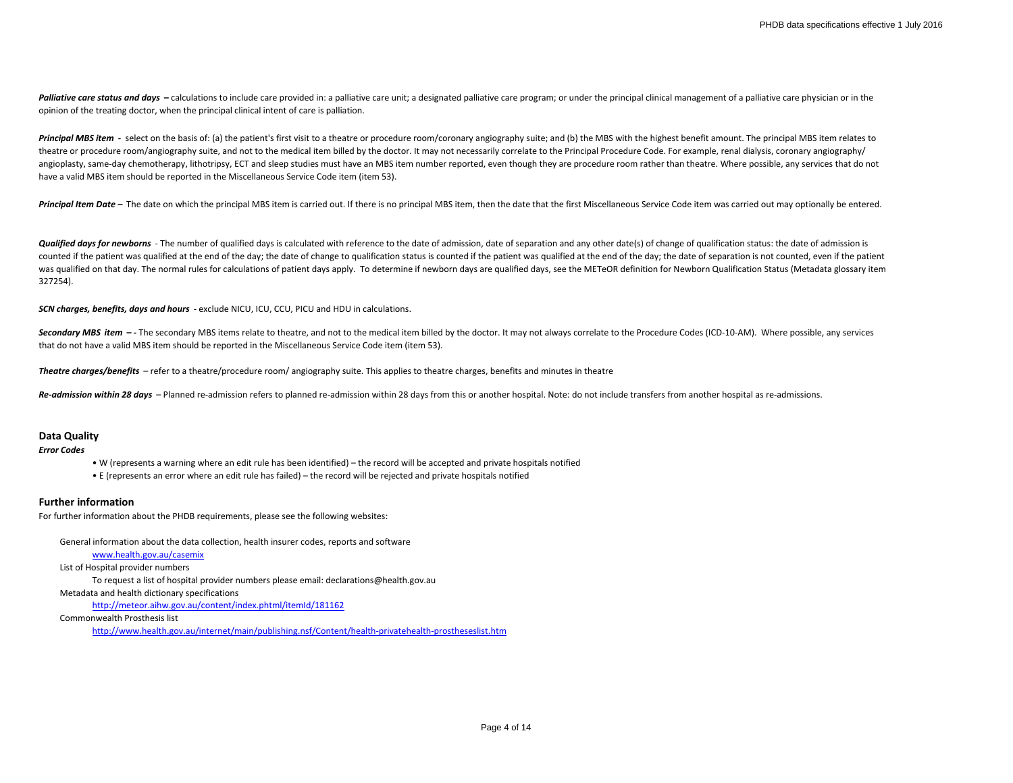Palliative care status and days - calculations to include care provided in: a palliative care unit; a designated palliative care program; or under the principal clinical management of a palliative care physician or in the opinion of the treating doctor, when the principal clinical intent of care is palliation.

Principal MBS item - select on the basis of: (a) the patient's first visit to a theatre or procedure room/coronary angiography suite; and (b) the MBS with the highest benefit amount. The principal MBS item relates to theatre or procedure room/angiography suite, and not to the medical item billed by the doctor. It may not necessarily correlate to the Principal Procedure Code. For example, renal dialysis, coronary angiography/ angioplasty, same-day chemotherapy, lithotripsy, ECT and sleep studies must have an MBS item number reported, even though they are procedure room rather than theatre. Where possible, any services that do not have a valid MBS item should be reported in the Miscellaneous Service Code item (item 53).

**Principal Item Date –** The date on which the principal MBS item is carried out. If there is no principal MBS item, then the date that the first Miscellaneous Service Code item was carried out may optionally be entered.

**Qualified days for newborns** - The number of qualified days is calculated with reference to the date of admission, date of separation and any other date(s) of change of qualification status: the date of admission is counted if the patient was qualified at the end of the day; the date of change to qualification status is counted if the patient was qualified at the end of the day; the date of separation is not counted, even if the patie was qualified on that day. The normal rules for calculations of patient days apply. To determine if newborn days are qualified days, see the METeOR definition for Newborn Qualification Status (Metadata glossary item 327254).

*SCN charges, benefits, days and hours* - exclude NICU, ICU, CCU, PICU and HDU in calculations.

Secondary MBS item -- The secondary MBS items relate to theatre, and not to the medical item billed by the doctor. It may not always correlate to the Procedure Codes (ICD-10-AM). Where possible, any services that do not have a valid MBS item should be reported in the Miscellaneous Service Code item (item 53).

*Theatre charges/benefits* – refer to a theatre/procedure room/ angiography suite. This applies to theatre charges, benefits and minutes in theatre

Re-admission within 28 days - Planned re-admission refers to planned re-admission within 28 days from this or another hospital. Note: do not include transfers from another hospital as re-admissions.

## **Data Quality**

*Error Codes*

- W (represents a warning where an edit rule has been identified) the record will be accepted and private hospitals notified
- E (represents an error where an edit rule has failed) the record will be rejected and private hospitals notified

#### **Further information**

For further information about the PHDB requirements, please see the following websites:

General information about the data collection, health insurer codes, reports and software

[www.health.gov.au/casemix](http://www.health.gov.au/casemix)

List of Hospital provider numbers

To request a list of hospital provider numbers please email: declarations@health.gov.au

Metadata and health dictionary specifications

<http://meteor.aihw.gov.au/content/index.phtml/itemId/181162>

Commonwealth Prosthesis list

http://www.health.gov.au/internet/main/publishing.nsf/Content/health-privatehealth-prostheseslist.htm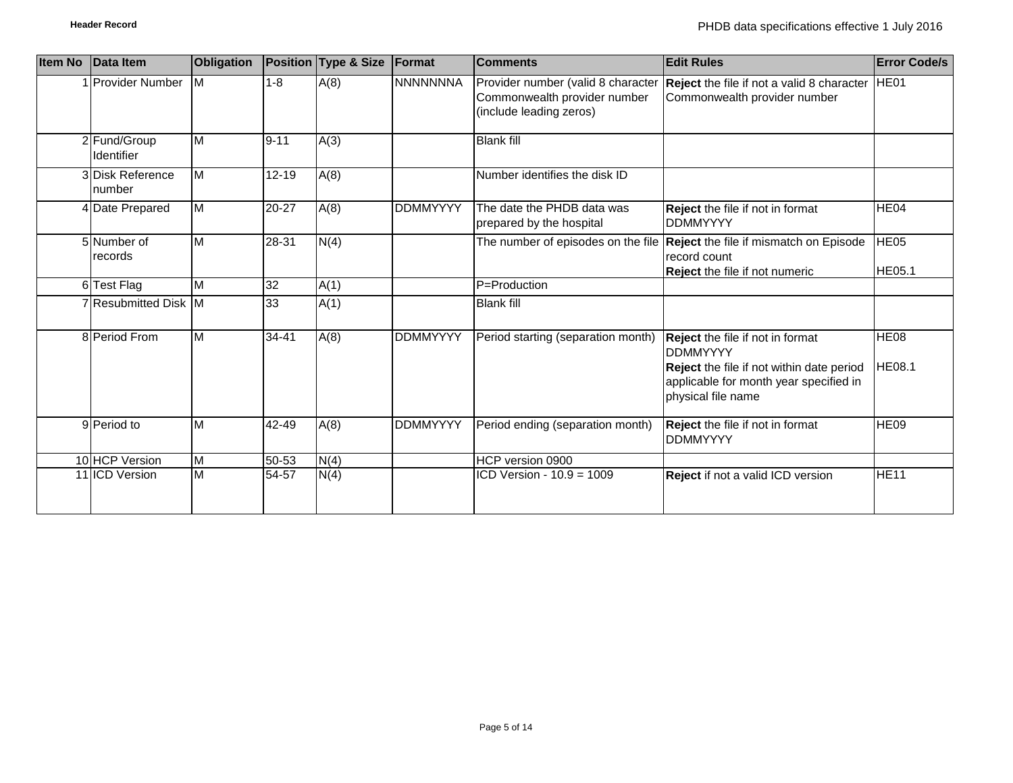| <b>Item No</b> | Data Item                  | <b>Obligation</b>       |           | Position Type & Size | Format          | <b>Comments</b>                                                                               | <b>Edit Rules</b>                                                                                                                                                       | <b>Error Code/s</b>          |
|----------------|----------------------------|-------------------------|-----------|----------------------|-----------------|-----------------------------------------------------------------------------------------------|-------------------------------------------------------------------------------------------------------------------------------------------------------------------------|------------------------------|
|                | <b>IProvider Number</b>    | <b>IM</b>               | $1 - 8$   | A(8)                 | <b>NNNNNNNA</b> | Provider number (valid 8 character<br>Commonwealth provider number<br>(include leading zeros) | <b>Reject</b> the file if not a valid 8 character<br>Commonwealth provider number                                                                                       | HE01                         |
|                | 2 Fund/Group<br>Identifier | $\overline{\mathsf{M}}$ | $9 - 11$  | A(3)                 |                 | <b>Blank fill</b>                                                                             |                                                                                                                                                                         |                              |
|                | 3 Disk Reference<br>number | $\overline{\mathsf{M}}$ | $12 - 19$ | A(8)                 |                 | Number identifies the disk ID                                                                 |                                                                                                                                                                         |                              |
|                | 4 Date Prepared            | $\overline{M}$          | 20-27     | A(8)                 | <b>DDMMYYYY</b> | The date the PHDB data was<br>prepared by the hospital                                        | Reject the file if not in format<br><b>DDMMYYYY</b>                                                                                                                     | HE04                         |
|                | 5 Number of<br>records     | $\overline{\mathsf{M}}$ | 28-31     | N(4)                 |                 |                                                                                               | The number of episodes on the file Reject the file if mismatch on Episode<br>record count<br>Reject the file if not numeric                                             | <b>HE05</b><br>HE05.1        |
|                | 6 Test Flag                | $\overline{\mathsf{M}}$ | 32        | A(1)                 |                 | P=Production                                                                                  |                                                                                                                                                                         |                              |
|                | 7 Resubmitted Disk M       |                         | 33        | A(1)                 |                 | <b>Blank fill</b>                                                                             |                                                                                                                                                                         |                              |
|                | 8 Period From              | M                       | $34 - 41$ | A(8)                 | <b>DDMMYYYY</b> | Period starting (separation month)                                                            | Reject the file if not in format<br><b>DDMMYYYY</b><br><b>Reject</b> the file if not within date period<br>applicable for month year specified in<br>physical file name | <b>HE08</b><br><b>HE08.1</b> |
|                | 9 Period to                | M                       | $42 - 49$ | A(8)                 | <b>DDMMYYYY</b> | Period ending (separation month)                                                              | Reject the file if not in format<br><b>DDMMYYYY</b>                                                                                                                     | HE <sub>09</sub>             |
|                | 10 HCP Version             | M                       | $50 - 53$ | N(4)                 |                 | HCP version 0900                                                                              |                                                                                                                                                                         |                              |
|                | 11 ICD Version             | M                       | 54-57     | N(4)                 |                 | ICD Version - 10.9 = 1009                                                                     | <b>Reject</b> if not a valid ICD version                                                                                                                                | <b>HE11</b>                  |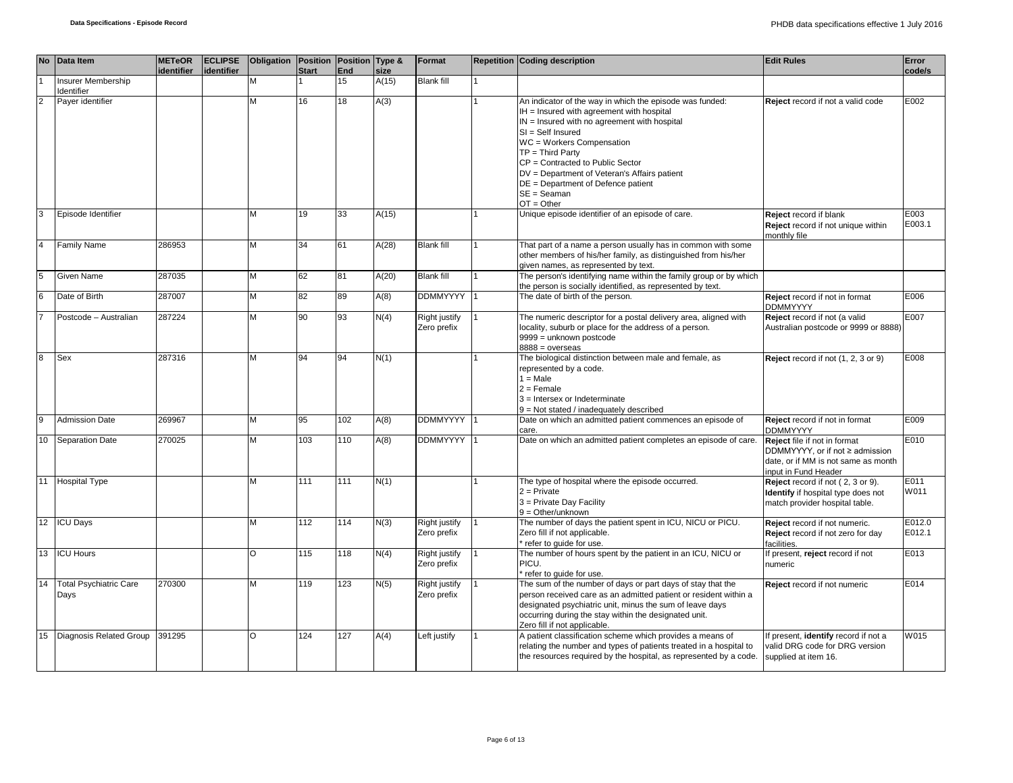|                | No Data Item                          | <b>METeOR</b><br>identifier | <b>ECLIPSE</b><br>identifier | Obligation Position Position Type & | <b>Start</b> | End | size  | Format                              | <b>Repetition Coding description</b>                                                                                                                                                                                                                                                                                                                                                         | <b>Edit Rules</b>                                                                                                              | Error<br>code/s  |
|----------------|---------------------------------------|-----------------------------|------------------------------|-------------------------------------|--------------|-----|-------|-------------------------------------|----------------------------------------------------------------------------------------------------------------------------------------------------------------------------------------------------------------------------------------------------------------------------------------------------------------------------------------------------------------------------------------------|--------------------------------------------------------------------------------------------------------------------------------|------------------|
|                | Insurer Membership<br>Identifier      |                             |                              | M                                   |              | 15  | A(15) | <b>Blank fill</b>                   |                                                                                                                                                                                                                                                                                                                                                                                              |                                                                                                                                |                  |
| $\overline{2}$ | Payer identifier                      |                             |                              | М                                   | 16           | 18  | A(3)  |                                     | An indicator of the way in which the episode was funded:<br>IH = Insured with agreement with hospital<br>$IN =$ Insured with no agreement with hospital<br>$SI = Self$ Insured<br>WC = Workers Compensation<br>$TP = Third Party$<br>CP = Contracted to Public Sector<br>DV = Department of Veteran's Affairs patient<br>DE = Department of Defence patient<br>$SE = Seaman$<br>$OT = Other$ | Reject record if not a valid code                                                                                              | E002             |
| 3              | Episode Identifier                    |                             |                              | м                                   | 19           | 33  | A(15) |                                     | Unique episode identifier of an episode of care.                                                                                                                                                                                                                                                                                                                                             | Reject record if blank<br>Reject record if not unique within<br>monthly file                                                   | E003<br>E003.1   |
| $\overline{4}$ | <b>Family Name</b>                    | 286953                      |                              | М                                   | 34           | 61  | A(28) | <b>Blank fill</b>                   | That part of a name a person usually has in common with some<br>other members of his/her family, as distinguished from his/her<br>given names, as represented by text.                                                                                                                                                                                                                       |                                                                                                                                |                  |
|                | <b>Given Name</b>                     | 287035                      |                              | М                                   | 62           | 81  | A(20) | <b>Blank fill</b>                   | The person's identifying name within the family group or by which<br>the person is socially identified, as represented by text.                                                                                                                                                                                                                                                              |                                                                                                                                |                  |
| 6              | Date of Birth                         | 287007                      |                              | M                                   | 82           | 89  | A(8)  | <b>DDMMYYYY</b>                     | The date of birth of the person.                                                                                                                                                                                                                                                                                                                                                             | Reject record if not in format<br><b>DDMMYYYY</b>                                                                              | E006             |
|                | Postcode - Australian                 | 287224                      |                              | M                                   | 90           | 93  | N(4)  | <b>Right justify</b><br>Zero prefix | The numeric descriptor for a postal delivery area, aligned with<br>locality, suburb or place for the address of a person.<br>9999 = unknown postcode<br>$8888 = 0$ verseas                                                                                                                                                                                                                   | Reject record if not (a valid<br>Australian postcode or 9999 or 8888)                                                          | E007             |
| 8              | Sex                                   | 287316                      |                              | М                                   | 94           | 94  | N(1)  |                                     | The biological distinction between male and female, as<br>represented by a code.<br>$1 = Male$<br>$2 =$ Female<br>3 = Intersex or Indeterminate<br>9 = Not stated / inadequately described                                                                                                                                                                                                   | Reject record if not (1, 2, 3 or 9)                                                                                            | E008             |
| $\overline{9}$ | <b>Admission Date</b>                 | 269967                      |                              | М                                   | 95           | 102 | A(8)  | <b>DDMMYYYY</b>                     | Date on which an admitted patient commences an episode of<br>care.                                                                                                                                                                                                                                                                                                                           | Reject record if not in format<br><b>DDMMYYYY</b>                                                                              | E009             |
| 10             | <b>Separation Date</b>                | 270025                      |                              | м                                   | 103          | 110 | A(8)  | <b>DDMMYYYY</b>                     | Date on which an admitted patient completes an episode of care.                                                                                                                                                                                                                                                                                                                              | Reject file if not in format<br>DDMMYYYY, or if not ≥ admission<br>date, or if MM is not same as month<br>input in Fund Header | E010             |
|                | 11 Hospital Type                      |                             |                              | M                                   | 111          | 111 | N(1)  |                                     | The type of hospital where the episode occurred.<br>$2 =$ Private<br>3 = Private Day Facility<br>$9 = Other/unknown$                                                                                                                                                                                                                                                                         | Reject record if not (2, 3 or 9).<br>Identify if hospital type does not<br>match provider hospital table.                      | E011<br>W011     |
|                | 12 ICU Days                           |                             |                              | м                                   | 112          | 114 | N(3)  | Right justify<br>Zero prefix        | The number of days the patient spent in ICU, NICU or PICU.<br>Zero fill if not applicable.<br>refer to quide for use.                                                                                                                                                                                                                                                                        | Reject record if not numeric.<br>Reject record if not zero for day<br>facilities.                                              | E012.0<br>E012.1 |
|                | 13 ICU Hours                          |                             |                              | O                                   | 115          | 118 | N(4)  | Right justify<br>Zero prefix        | The number of hours spent by the patient in an ICU, NICU or<br>PICU.<br>refer to guide for use.                                                                                                                                                                                                                                                                                              | If present, reject record if not<br>numeric                                                                                    | E013             |
| 14             | <b>Total Psychiatric Care</b><br>Days | 270300                      |                              | М                                   | 119          | 123 | N(5)  | <b>Right justify</b><br>Zero prefix | The sum of the number of days or part days of stay that the<br>person received care as an admitted patient or resident within a<br>designated psychiatric unit, minus the sum of leave days<br>occurring during the stay within the designated unit.<br>Zero fill if not applicable.                                                                                                         | Reject record if not numeric                                                                                                   | E014             |
|                | 15 Diagnosis Related Group            | 391295                      |                              | O                                   | 124          | 127 | A(4)  | Left justify                        | A patient classification scheme which provides a means of<br>relating the number and types of patients treated in a hospital to<br>the resources required by the hospital, as represented by a code.                                                                                                                                                                                         | If present, identify record if not a<br>valid DRG code for DRG version<br>supplied at item 16.                                 | W015             |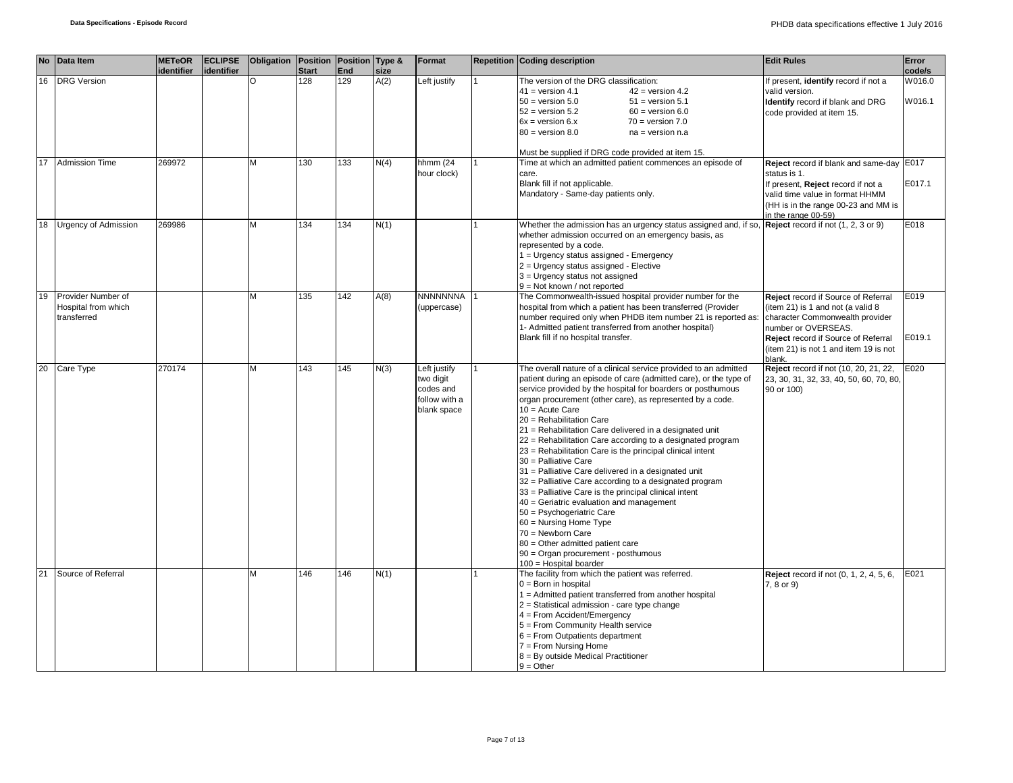|    | No Data Item                                             | <b>METeOR</b> | <b>ECLIPSE</b> | Obligation   Position   Position   Type & |              |     |      | Format                                                                 | <b>Repetition Coding description</b>                                                                                                                                                                                                                                                                                                                                                                                                                                                                                                                                                                                                                                                                                                                                                                                                                                                                                                          | <b>Edit Rules</b>                                                                                                                                                                                                            | Error            |
|----|----------------------------------------------------------|---------------|----------------|-------------------------------------------|--------------|-----|------|------------------------------------------------------------------------|-----------------------------------------------------------------------------------------------------------------------------------------------------------------------------------------------------------------------------------------------------------------------------------------------------------------------------------------------------------------------------------------------------------------------------------------------------------------------------------------------------------------------------------------------------------------------------------------------------------------------------------------------------------------------------------------------------------------------------------------------------------------------------------------------------------------------------------------------------------------------------------------------------------------------------------------------|------------------------------------------------------------------------------------------------------------------------------------------------------------------------------------------------------------------------------|------------------|
|    |                                                          | identifier    | identifier     |                                           | <b>Start</b> | End | size |                                                                        |                                                                                                                                                                                                                                                                                                                                                                                                                                                                                                                                                                                                                                                                                                                                                                                                                                                                                                                                               |                                                                                                                                                                                                                              | code/s           |
|    | 16 DRG Version                                           |               |                | O                                         | 128          | 129 | A(2) | Left justify                                                           | The version of the DRG classification:<br>$42$ = version 4.2<br>$41 =$ version 4.1<br>$50 =$ version $5.0$<br>$51 =$ version $5.1$<br>$52 = version 5.2$<br>$60 =$ version $6.0$<br>$6x = version 6.x$<br>$70 = version 7.0$<br>$80 =$ version $8.0$<br>$na = version n.a$<br>Must be supplied if DRG code provided at item 15.                                                                                                                                                                                                                                                                                                                                                                                                                                                                                                                                                                                                               | If present, identify record if not a<br>valid version.<br>Identify record if blank and DRG<br>code provided at item 15.                                                                                                      | W016.0<br>W016.1 |
|    | 17 Admission Time                                        | 269972        |                | M                                         | 130          | 133 | N(4) | hhmm (24<br>hour clock)                                                | Time at which an admitted patient commences an episode of<br>care.<br>Blank fill if not applicable.<br>Mandatory - Same-day patients only.                                                                                                                                                                                                                                                                                                                                                                                                                                                                                                                                                                                                                                                                                                                                                                                                    | Reject record if blank and same-day<br>status is 1.<br>If present, Reject record if not a<br>valid time value in format HHMM<br>(HH is in the range 00-23 and MM is<br>in the range 00-59)                                   | E017<br>E017.1   |
|    | 18 Urgency of Admission                                  | 269986        |                | M                                         | 134          | 134 | N(1) |                                                                        | Whether the admission has an urgency status assigned and, if so, $\sqrt{\text{Reject } }$ record if not (1, 2, 3 or 9)<br>whether admission occurred on an emergency basis, as<br>represented by a code.<br>1 = Urgency status assigned - Emergency<br>2 = Urgency status assigned - Elective<br>3 = Urgency status not assigned<br>9 = Not known / not reported                                                                                                                                                                                                                                                                                                                                                                                                                                                                                                                                                                              |                                                                                                                                                                                                                              | E018             |
| 19 | Provider Number of<br>Hospital from which<br>transferred |               |                | М                                         | 135          | 142 | A(8) | <b>NNNNNNNA</b><br>(uppercase)                                         | The Commonwealth-issued hospital provider number for the<br>hospital from which a patient has been transferred (Provider<br>number required only when PHDB item number 21 is reported as:<br>1- Admitted patient transferred from another hospital)<br>Blank fill if no hospital transfer.                                                                                                                                                                                                                                                                                                                                                                                                                                                                                                                                                                                                                                                    | Reject record if Source of Referral<br>(item 21) is 1 and not (a valid 8<br>character Commonwealth provider<br>number or OVERSEAS.<br>Reject record if Source of Referral<br>(item 21) is not 1 and item 19 is not<br>blank. | E019<br>E019.1   |
|    | 20 Care Type                                             | 270174        |                | M                                         | 143          | 145 | N(3) | Left justify<br>two digit<br>codes and<br>follow with a<br>blank space | The overall nature of a clinical service provided to an admitted<br>patient during an episode of care (admitted care), or the type of<br>service provided by the hospital for boarders or posthumous<br>organ procurement (other care), as represented by a code.<br>$10 = Acute Care$<br>20 = Rehabilitation Care<br>21 = Rehabilitation Care delivered in a designated unit<br>22 = Rehabilitation Care according to a designated program<br>23 = Rehabilitation Care is the principal clinical intent<br>30 = Palliative Care<br>31 = Palliative Care delivered in a designated unit<br>32 = Palliative Care according to a designated program<br>33 = Palliative Care is the principal clinical intent<br>40 = Geriatric evaluation and management<br>50 = Psychogeriatric Care<br>$60 =$ Nursing Home Type<br>70 = Newborn Care<br>80 = Other admitted patient care<br>$90 =$ Organ procurement - posthumous<br>$100$ = Hospital boarder | Reject record if not (10, 20, 21, 22,<br>23, 30, 31, 32, 33, 40, 50, 60, 70, 80<br>90 or 100)                                                                                                                                | E020             |
| 21 | Source of Referral                                       |               |                | M                                         | 146          | 146 | N(1) |                                                                        | The facility from which the patient was referred.<br>$0 = Born$ in hospital<br>1 = Admitted patient transferred from another hospital<br>2 = Statistical admission - care type change<br>4 = From Accident/Emergency<br>5 = From Community Health service<br>$6$ = From Outpatients department<br>$7 =$ From Nursing Home<br>8 = By outside Medical Practitioner<br>$9 = Other$                                                                                                                                                                                                                                                                                                                                                                                                                                                                                                                                                               | <b>Reject</b> record if not (0, 1, 2, 4, 5, 6,<br>7, 8 or 9)                                                                                                                                                                 | E021             |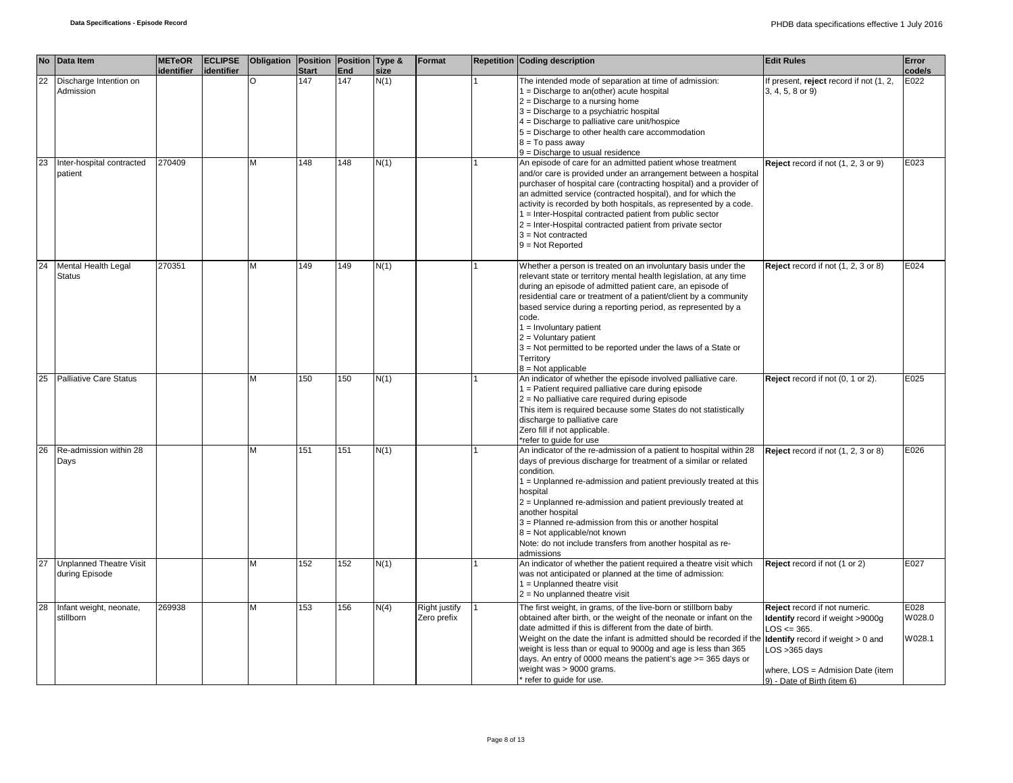|    | No Data Item                                     | <b>METeOR</b><br>identifier | <b>ECLIPSE</b><br>identifier | <b>Obligation   Position   Position   Type &amp;</b> | <b>Start</b> | End | size | Format                       | <b>Repetition Coding description</b>                                                                                                                                                                                                                                                                                                                                                                                                                                                                             | <b>Edit Rules</b>                                                                                                                                                                                                      | Error<br>code/s          |
|----|--------------------------------------------------|-----------------------------|------------------------------|------------------------------------------------------|--------------|-----|------|------------------------------|------------------------------------------------------------------------------------------------------------------------------------------------------------------------------------------------------------------------------------------------------------------------------------------------------------------------------------------------------------------------------------------------------------------------------------------------------------------------------------------------------------------|------------------------------------------------------------------------------------------------------------------------------------------------------------------------------------------------------------------------|--------------------------|
| 22 | Discharge Intention on<br>Admission              |                             |                              | O                                                    | 147          | 147 | N(1) |                              | The intended mode of separation at time of admission:<br>$1 =$ Discharge to an(other) acute hospital<br>$2 =$ Discharge to a nursing home<br>3 = Discharge to a psychiatric hospital<br>4 = Discharge to palliative care unit/hospice<br>5 = Discharge to other health care accommodation<br>$8 = To pass away$<br>$9$ = Discharge to usual residence                                                                                                                                                            | If present, reject record if not (1, 2,<br>3, 4, 5, 8 or 9)                                                                                                                                                            | E022                     |
| 23 | Inter-hospital contracted<br>patient             | 270409                      |                              | М                                                    | 148          | 148 | N(1) |                              | An episode of care for an admitted patient whose treatment<br>and/or care is provided under an arrangement between a hospital<br>purchaser of hospital care (contracting hospital) and a provider of<br>an admitted service (contracted hospital), and for which the<br>activity is recorded by both hospitals, as represented by a code.<br>1 = Inter-Hospital contracted patient from public sector<br>2 = Inter-Hospital contracted patient from private sector<br>$3 = Not contracted$<br>$9 = Not Reported$ | Reject record if not (1, 2, 3 or 9)                                                                                                                                                                                    | E023                     |
| 24 | Mental Health Legal<br><b>Status</b>             | 270351                      |                              | M                                                    | 149          | 149 | N(1) |                              | Whether a person is treated on an involuntary basis under the<br>relevant state or territory mental health legislation, at any time<br>during an episode of admitted patient care, an episode of<br>residential care or treatment of a patient/client by a community<br>based service during a reporting period, as represented by a<br>code.<br>$1 =$ Involuntary patient<br>$2 =$ Voluntary patient<br>3 = Not permitted to be reported under the laws of a State or<br>Territory<br>$8 = Not applicable$      | Reject record if not (1, 2, 3 or 8)                                                                                                                                                                                    | E024                     |
| 25 | <b>Palliative Care Status</b>                    |                             |                              | М                                                    | 150          | 150 | N(1) |                              | An indicator of whether the episode involved palliative care.<br>1 = Patient required palliative care during episode<br>$2$ = No palliative care required during episode<br>This item is required because some States do not statistically<br>discharge to palliative care<br>Zero fill if not applicable.<br>*refer to quide for use                                                                                                                                                                            | Reject record if not (0, 1 or 2).                                                                                                                                                                                      | E025                     |
| 26 | Re-admission within 28<br>Days                   |                             |                              | м                                                    | 151          | 151 | N(1) |                              | An indicator of the re-admission of a patient to hospital within 28<br>days of previous discharge for treatment of a similar or related<br>condition.<br>1 = Unplanned re-admission and patient previously treated at this<br>hospital<br>2 = Unplanned re-admission and patient previously treated at<br>another hospital<br>3 = Planned re-admission from this or another hospital<br>8 = Not applicable/not known<br>Note: do not include transfers from another hospital as re-<br>admissions                | Reject record if not (1, 2, 3 or 8)                                                                                                                                                                                    | E026                     |
| 27 | <b>Unplanned Theatre Visit</b><br>during Episode |                             |                              | м                                                    | 152          | 152 | N(1) |                              | An indicator of whether the patient required a theatre visit which<br>was not anticipated or planned at the time of admission:<br>$1 =$ Unplanned theatre visit<br>$2 = No$ unplanned theatre visit                                                                                                                                                                                                                                                                                                              | Reject record if not (1 or 2)                                                                                                                                                                                          | E027                     |
| 28 | Infant weight, neonate,<br>stillborn             | 269938                      |                              | NЛ                                                   | 153          | 156 | N(4) | Right justify<br>Zero prefix | The first weight, in grams, of the live-born or stillborn baby<br>obtained after birth, or the weight of the neonate or infant on the<br>date admitted if this is different from the date of birth.<br>Weight on the date the infant is admitted should be recorded if th<br>weight is less than or equal to 9000g and age is less than 365<br>days. An entry of 0000 means the patient's age >= 365 days or<br>weight was > 9000 grams.<br>* refer to guide for use.                                            | Reject record if not numeric.<br>Identify record if weight >9000g<br>$LOS \le 365.$<br><b>Identify</b> record if weight $> 0$ and<br>LOS > 365 days<br>where, LOS = Admision Date (item<br>9) - Date of Birth (item 6) | E028<br>W028.0<br>W028.1 |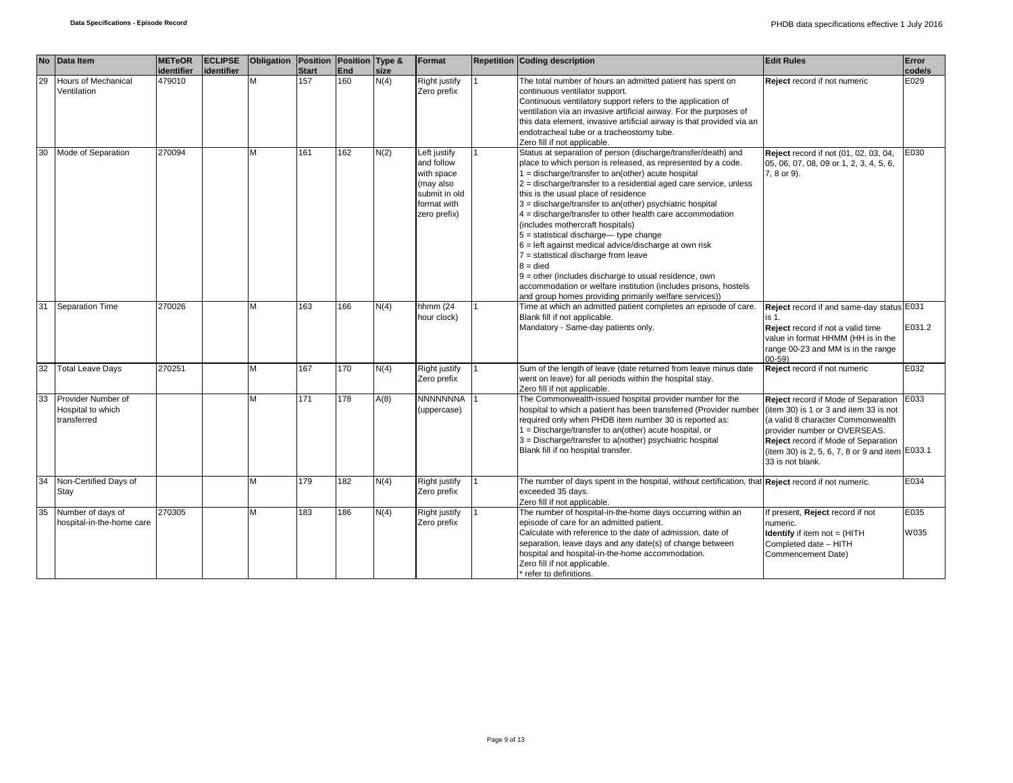| <b>No</b> | Data Item                  | <b>METeOR</b>        | <b>ECLIPSE</b> | Obligation   Position   Position   Type & |                     |                   |              | Format                       | <b>Repetition Coding description</b>                                                                                        | <b>Edit Rules</b>                                                                             | Error          |
|-----------|----------------------------|----------------------|----------------|-------------------------------------------|---------------------|-------------------|--------------|------------------------------|-----------------------------------------------------------------------------------------------------------------------------|-----------------------------------------------------------------------------------------------|----------------|
| 29        | <b>Hours of Mechanical</b> | identifier<br>479010 | identifier     | М                                         | <b>Start</b><br>157 | <b>End</b><br>160 | size<br>N(4) | Right justify                | The total number of hours an admitted patient has spent on                                                                  | Reject record if not numeric                                                                  | code/s<br>E029 |
|           | Ventilation                |                      |                |                                           |                     |                   |              | Zero prefix                  | continuous ventilator support.                                                                                              |                                                                                               |                |
|           |                            |                      |                |                                           |                     |                   |              |                              | Continuous ventilatory support refers to the application of                                                                 |                                                                                               |                |
|           |                            |                      |                |                                           |                     |                   |              |                              | ventilation via an invasive artificial airway. For the purposes of                                                          |                                                                                               |                |
|           |                            |                      |                |                                           |                     |                   |              |                              | this data element, invasive artificial airway is that provided via an<br>endotracheal tube or a tracheostomy tube.          |                                                                                               |                |
|           |                            |                      |                |                                           |                     |                   |              |                              | Zero fill if not applicable.                                                                                                |                                                                                               |                |
| 30        | Mode of Separation         | 270094               |                | M                                         | 161                 | 162               | N(2)         | Left justify                 | Status at separation of person (discharge/transfer/death) and                                                               | Reject record if not (01, 02, 03, 04,                                                         | E030           |
|           |                            |                      |                |                                           |                     |                   |              | and follow                   | place to which person is released, as represented by a code.                                                                | 05, 06, 07, 08, 09 or 1, 2, 3, 4, 5, 6,                                                       |                |
|           |                            |                      |                |                                           |                     |                   |              | with space                   | $1 =$ discharge/transfer to an(other) acute hospital                                                                        | 7, 8 or 9).                                                                                   |                |
|           |                            |                      |                |                                           |                     |                   |              | (may also<br>submit in old   | $2 =$ discharge/transfer to a residential aged care service, unless<br>this is the usual place of residence                 |                                                                                               |                |
|           |                            |                      |                |                                           |                     |                   |              | format with                  | 3 = discharge/transfer to an(other) psychiatric hospital                                                                    |                                                                                               |                |
|           |                            |                      |                |                                           |                     |                   |              | zero prefix)                 | 4 = discharge/transfer to other health care accommodation                                                                   |                                                                                               |                |
|           |                            |                      |                |                                           |                     |                   |              |                              | (includes mothercraft hospitals)                                                                                            |                                                                                               |                |
|           |                            |                      |                |                                           |                     |                   |              |                              | $5 =$ statistical discharge-type change                                                                                     |                                                                                               |                |
|           |                            |                      |                |                                           |                     |                   |              |                              | $6$ = left against medical advice/discharge at own risk<br>7 = statistical discharge from leave                             |                                                                                               |                |
|           |                            |                      |                |                                           |                     |                   |              |                              | $8 =$ died                                                                                                                  |                                                                                               |                |
|           |                            |                      |                |                                           |                     |                   |              |                              | $9$ = other (includes discharge to usual residence, own                                                                     |                                                                                               |                |
|           |                            |                      |                |                                           |                     |                   |              |                              | accommodation or welfare institution (includes prisons, hostels                                                             |                                                                                               |                |
|           |                            |                      |                |                                           |                     |                   |              |                              | and group homes providing primarily welfare services))                                                                      |                                                                                               |                |
| 31        | <b>Separation Time</b>     | 270026               |                | М                                         | 163                 | 166               | N(4)         | hhmm (24<br>hour clock)      | Time at which an admitted patient completes an episode of care.<br>Blank fill if not applicable.                            | Reject record if and same-day status E031                                                     |                |
|           |                            |                      |                |                                           |                     |                   |              |                              | Mandatory - Same-day patients only.                                                                                         | is 1.<br>Reject record if not a valid time                                                    | E031.2         |
|           |                            |                      |                |                                           |                     |                   |              |                              |                                                                                                                             | value in format HHMM (HH is in the                                                            |                |
|           |                            |                      |                |                                           |                     |                   |              |                              |                                                                                                                             | range 00-23 and MM is in the range                                                            |                |
|           |                            |                      |                |                                           |                     |                   |              |                              |                                                                                                                             | $00 - 59$                                                                                     |                |
| 32        | <b>Total Leave Days</b>    | 270251               |                | M                                         | 167                 | 170               | N(4)         | Right justify<br>Zero prefix | Sum of the length of leave (date returned from leave minus date<br>went on leave) for all periods within the hospital stay. | Reject record if not numeric                                                                  | E032           |
|           |                            |                      |                |                                           |                     |                   |              |                              | Zero fill if not applicable.                                                                                                |                                                                                               |                |
| 33        | Provider Number of         |                      |                | M                                         | 171                 | 178               | A(8)         | NNNNNNNA                     | The Commonwealth-issued hospital provider number for the                                                                    | Reject record if Mode of Separation                                                           | E033           |
|           | Hospital to which          |                      |                |                                           |                     |                   |              | (uppercase)                  | hospital to which a patient has been transferred (Provider number                                                           | (item 30) is 1 or 3 and item 33 is not                                                        |                |
|           | transferred                |                      |                |                                           |                     |                   |              |                              | required only when PHDB item number 30 is reported as:                                                                      | (a valid 8 character Commonwealth                                                             |                |
|           |                            |                      |                |                                           |                     |                   |              |                              | 1 = Discharge/transfer to an(other) acute hospital, or                                                                      | provider number or OVERSEAS.                                                                  |                |
|           |                            |                      |                |                                           |                     |                   |              |                              | $3 = Discharge/transfer$ to a(nother) psychiatric hospital<br>Blank fill if no hospital transfer.                           | <b>Reject</b> record if Mode of Separation<br>(item 30) is 2, 5, 6, 7, 8 or 9 and item E033.1 |                |
|           |                            |                      |                |                                           |                     |                   |              |                              |                                                                                                                             | 33 is not blank.                                                                              |                |
|           |                            |                      |                |                                           |                     |                   |              |                              |                                                                                                                             |                                                                                               |                |
| 34        | Non-Certified Days of      |                      |                | M                                         | 179                 | 182               | N(4)         | Right justify                | The number of days spent in the hospital, without certification, that Reject record if not numeric.                         |                                                                                               | E034           |
| Stay      |                            |                      |                |                                           |                     |                   |              | Zero prefix                  | exceeded 35 days.<br>Zero fill if not applicable.                                                                           |                                                                                               |                |
| 35        | Number of days of          | 270305               |                | M                                         | 183                 | 186               | N(4)         | <b>Right justify</b>         | The number of hospital-in-the-home days occurring within an                                                                 | f present, Reject record if not                                                               | E035           |
|           | hospital-in-the-home care  |                      |                |                                           |                     |                   |              | Zero prefix                  | episode of care for an admitted patient.                                                                                    | numeric.                                                                                      |                |
|           |                            |                      |                |                                           |                     |                   |              |                              | Calculate with reference to the date of admission, date of                                                                  | <b>Identify</b> if item not $=$ (HITH                                                         | W035           |
|           |                            |                      |                |                                           |                     |                   |              |                              | separation, leave days and any date(s) of change between                                                                    | Completed date - HITH                                                                         |                |
|           |                            |                      |                |                                           |                     |                   |              |                              | hospital and hospital-in-the-home accommodation.                                                                            | Commencement Date)                                                                            |                |
|           |                            |                      |                |                                           |                     |                   |              |                              | Zero fill if not applicable.<br>* refer to definitions.                                                                     |                                                                                               |                |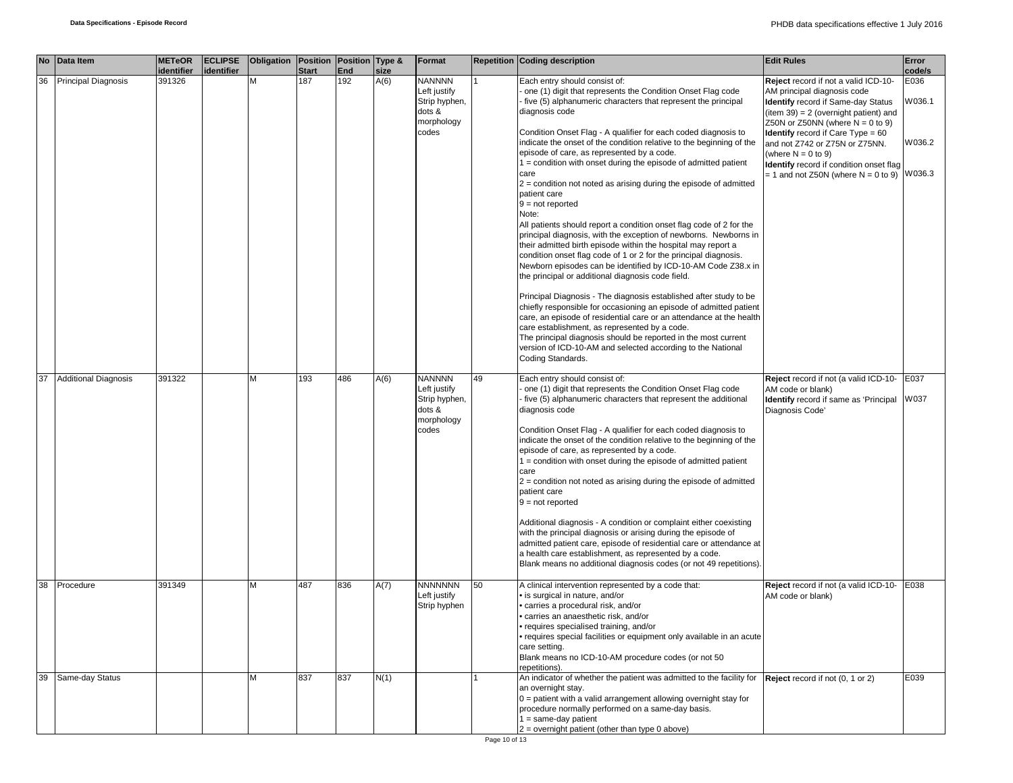|    | No Data Item                | <b>METeOR</b><br><b>identifier</b> | <b>ECLIPSE</b><br>identifier | Obligation Position Position Type & | <b>Start</b> | End | size | Format         |    | <b>Repetition Coding description</b>                                  | <b>Edit Rules</b>                          | Error<br>code/s |
|----|-----------------------------|------------------------------------|------------------------------|-------------------------------------|--------------|-----|------|----------------|----|-----------------------------------------------------------------------|--------------------------------------------|-----------------|
| 36 | <b>Principal Diagnosis</b>  | 391326                             |                              | M                                   | 187          | 192 | A(6) | <b>NANNNN</b>  |    | Each entry should consist of:                                         | Reject record if not a valid ICD-10-       | E036            |
|    |                             |                                    |                              |                                     |              |     |      | Left justify   |    | one (1) digit that represents the Condition Onset Flag code           | AM principal diagnosis code                |                 |
|    |                             |                                    |                              |                                     |              |     |      | Strip hyphen,  |    | five (5) alphanumeric characters that represent the principal         | <b>Identify</b> record if Same-day Status  | W036.1          |
|    |                             |                                    |                              |                                     |              |     |      | dots &         |    | diagnosis code                                                        | $item 39) = 2 (overnight patient)$ and     |                 |
|    |                             |                                    |                              |                                     |              |     |      | morphology     |    |                                                                       | Z50N or Z50NN (where $N = 0$ to 9)         |                 |
|    |                             |                                    |                              |                                     |              |     |      | codes          |    | Condition Onset Flag - A qualifier for each coded diagnosis to        | <b>Identify</b> record if Care Type $= 60$ |                 |
|    |                             |                                    |                              |                                     |              |     |      |                |    | indicate the onset of the condition relative to the beginning of the  | and not Z742 or Z75N or Z75NN.             | W036.2          |
|    |                             |                                    |                              |                                     |              |     |      |                |    | episode of care, as represented by a code.                            | (where $N = 0$ to 9)                       |                 |
|    |                             |                                    |                              |                                     |              |     |      |                |    | 1 = condition with onset during the episode of admitted patient       | Identify record if condition onset flag    |                 |
|    |                             |                                    |                              |                                     |              |     |      |                |    | care                                                                  | $= 1$ and not Z50N (where N = 0 to 9)      | W036.3          |
|    |                             |                                    |                              |                                     |              |     |      |                |    | $2$ = condition not noted as arising during the episode of admitted   |                                            |                 |
|    |                             |                                    |                              |                                     |              |     |      |                |    | patient care                                                          |                                            |                 |
|    |                             |                                    |                              |                                     |              |     |      |                |    | $9 = not reported$                                                    |                                            |                 |
|    |                             |                                    |                              |                                     |              |     |      |                |    | Note:                                                                 |                                            |                 |
|    |                             |                                    |                              |                                     |              |     |      |                |    | All patients should report a condition onset flag code of 2 for the   |                                            |                 |
|    |                             |                                    |                              |                                     |              |     |      |                |    | principal diagnosis, with the exception of newborns. Newborns in      |                                            |                 |
|    |                             |                                    |                              |                                     |              |     |      |                |    | their admitted birth episode within the hospital may report a         |                                            |                 |
|    |                             |                                    |                              |                                     |              |     |      |                |    | condition onset flag code of 1 or 2 for the principal diagnosis.      |                                            |                 |
|    |                             |                                    |                              |                                     |              |     |      |                |    | Newborn episodes can be identified by ICD-10-AM Code Z38.x in         |                                            |                 |
|    |                             |                                    |                              |                                     |              |     |      |                |    | the principal or additional diagnosis code field.                     |                                            |                 |
|    |                             |                                    |                              |                                     |              |     |      |                |    |                                                                       |                                            |                 |
|    |                             |                                    |                              |                                     |              |     |      |                |    | Principal Diagnosis - The diagnosis established after study to be     |                                            |                 |
|    |                             |                                    |                              |                                     |              |     |      |                |    | chiefly responsible for occasioning an episode of admitted patient    |                                            |                 |
|    |                             |                                    |                              |                                     |              |     |      |                |    | care, an episode of residential care or an attendance at the health   |                                            |                 |
|    |                             |                                    |                              |                                     |              |     |      |                |    | care establishment, as represented by a code.                         |                                            |                 |
|    |                             |                                    |                              |                                     |              |     |      |                |    | The principal diagnosis should be reported in the most current        |                                            |                 |
|    |                             |                                    |                              |                                     |              |     |      |                |    | version of ICD-10-AM and selected according to the National           |                                            |                 |
|    |                             |                                    |                              |                                     |              |     |      |                |    | Coding Standards.                                                     |                                            |                 |
|    |                             |                                    |                              |                                     |              |     |      |                |    |                                                                       |                                            |                 |
| 37 | <b>Additional Diagnosis</b> | 391322                             |                              | M                                   | 193          | 486 | A(6) | <b>NANNNN</b>  | 49 | Each entry should consist of:                                         | Reject record if not (a valid ICD-10-      | E037            |
|    |                             |                                    |                              |                                     |              |     |      | Left justify   |    | one (1) digit that represents the Condition Onset Flag code           | AM code or blank)                          |                 |
|    |                             |                                    |                              |                                     |              |     |      | Strip hyphen,  |    | five (5) alphanumeric characters that represent the additional        | Identify record if same as 'Principal      | W037            |
|    |                             |                                    |                              |                                     |              |     |      | dots &         |    | diagnosis code                                                        | Diagnosis Code'                            |                 |
|    |                             |                                    |                              |                                     |              |     |      | morphology     |    |                                                                       |                                            |                 |
|    |                             |                                    |                              |                                     |              |     |      | codes          |    | Condition Onset Flag - A qualifier for each coded diagnosis to        |                                            |                 |
|    |                             |                                    |                              |                                     |              |     |      |                |    | indicate the onset of the condition relative to the beginning of the  |                                            |                 |
|    |                             |                                    |                              |                                     |              |     |      |                |    | episode of care, as represented by a code.                            |                                            |                 |
|    |                             |                                    |                              |                                     |              |     |      |                |    | $1 =$ condition with onset during the episode of admitted patient     |                                            |                 |
|    |                             |                                    |                              |                                     |              |     |      |                |    | care                                                                  |                                            |                 |
|    |                             |                                    |                              |                                     |              |     |      |                |    | $2$ = condition not noted as arising during the episode of admitted   |                                            |                 |
|    |                             |                                    |                              |                                     |              |     |      |                |    | patient care                                                          |                                            |                 |
|    |                             |                                    |                              |                                     |              |     |      |                |    | $9 = not reported$                                                    |                                            |                 |
|    |                             |                                    |                              |                                     |              |     |      |                |    |                                                                       |                                            |                 |
|    |                             |                                    |                              |                                     |              |     |      |                |    | Additional diagnosis - A condition or complaint either coexisting     |                                            |                 |
|    |                             |                                    |                              |                                     |              |     |      |                |    | with the principal diagnosis or arising during the episode of         |                                            |                 |
|    |                             |                                    |                              |                                     |              |     |      |                |    | admitted patient care, episode of residential care or attendance at   |                                            |                 |
|    |                             |                                    |                              |                                     |              |     |      |                |    | a health care establishment, as represented by a code.                |                                            |                 |
|    |                             |                                    |                              |                                     |              |     |      |                |    | Blank means no additional diagnosis codes (or not 49 repetitions).    |                                            |                 |
|    |                             |                                    |                              |                                     |              |     |      |                |    |                                                                       |                                            |                 |
| 38 | Procedure                   | 391349                             |                              | м                                   | 487          | 836 | A(7) | <b>NNNNNNN</b> | 50 | A clinical intervention represented by a code that:                   | Reject record if not (a valid ICD-10-      | E038            |
|    |                             |                                    |                              |                                     |              |     |      | Left justify   |    | · is surgical in nature, and/or                                       | AM code or blank)                          |                 |
|    |                             |                                    |                              |                                     |              |     |      | Strip hyphen   |    | carries a procedural risk, and/or                                     |                                            |                 |
|    |                             |                                    |                              |                                     |              |     |      |                |    | carries an anaesthetic risk, and/or                                   |                                            |                 |
|    |                             |                                    |                              |                                     |              |     |      |                |    | requires specialised training, and/or                                 |                                            |                 |
|    |                             |                                    |                              |                                     |              |     |      |                |    | · requires special facilities or equipment only available in an acute |                                            |                 |
|    |                             |                                    |                              |                                     |              |     |      |                |    | care setting.                                                         |                                            |                 |
|    |                             |                                    |                              |                                     |              |     |      |                |    | Blank means no ICD-10-AM procedure codes (or not 50                   |                                            |                 |
|    |                             |                                    |                              |                                     |              |     |      |                |    | repetitions).                                                         |                                            |                 |
| 39 | Same-day Status             |                                    |                              | м                                   | 837          | 837 | N(1) |                |    | An indicator of whether the patient was admitted to the facility for  | Reject record if not (0, 1 or 2)           | E039            |
|    |                             |                                    |                              |                                     |              |     |      |                |    | an overnight stay.                                                    |                                            |                 |
|    |                             |                                    |                              |                                     |              |     |      |                |    | $0 =$ patient with a valid arrangement allowing overnight stay for    |                                            |                 |
|    |                             |                                    |                              |                                     |              |     |      |                |    | procedure normally performed on a same-day basis.                     |                                            |                 |
|    |                             |                                    |                              |                                     |              |     |      |                |    | $1 = same-day patient$                                                |                                            |                 |
|    |                             |                                    |                              |                                     |              |     |      |                |    | 2 = overnight patient (other than type 0 above)                       |                                            |                 |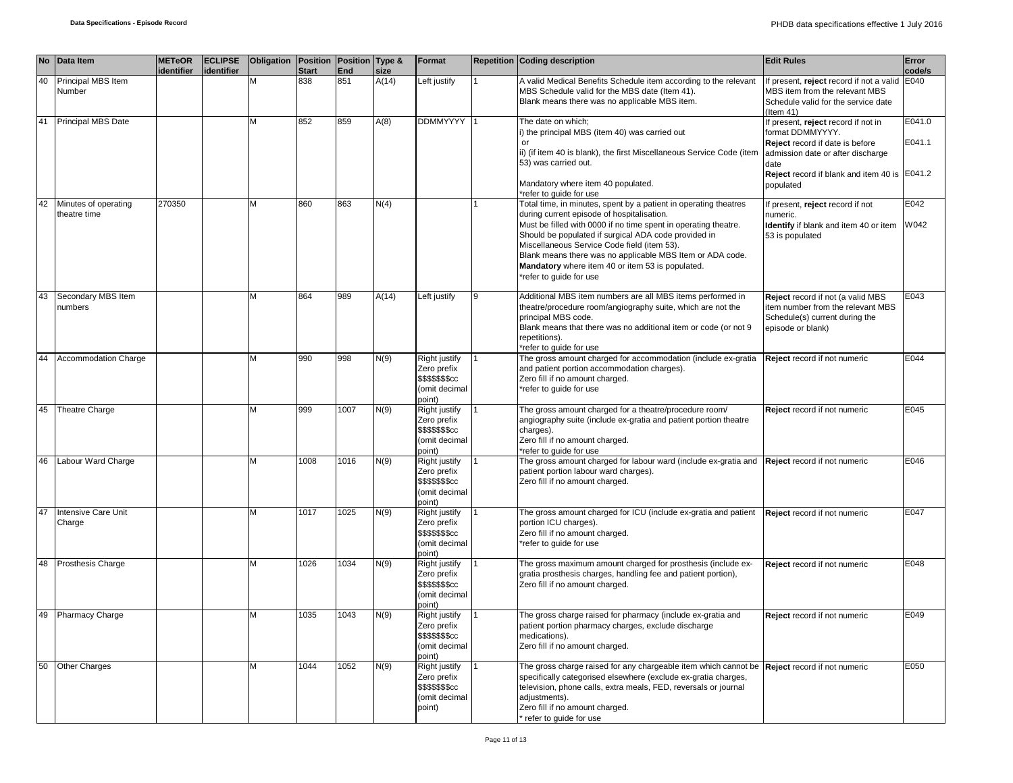|    | No Data Item                         | <b>METeOR</b><br>identifier | <b>ECLIPSE</b><br>identifier | Obligation | Position   Position   Type &<br><b>Start</b> | End  | size  | Format                                                                      |   | <b>Repetition Coding description</b>                                                                                                                                                                                                                                                                                                                                                                                                 | <b>Edit Rules</b>                                                                                                                                                                                    | Error<br>code/s  |
|----|--------------------------------------|-----------------------------|------------------------------|------------|----------------------------------------------|------|-------|-----------------------------------------------------------------------------|---|--------------------------------------------------------------------------------------------------------------------------------------------------------------------------------------------------------------------------------------------------------------------------------------------------------------------------------------------------------------------------------------------------------------------------------------|------------------------------------------------------------------------------------------------------------------------------------------------------------------------------------------------------|------------------|
| 40 | Principal MBS Item<br>Number         |                             |                              | M          | 838                                          | 851  | A(14) | Left justify                                                                |   | A valid Medical Benefits Schedule item according to the relevant<br>MBS Schedule valid for the MBS date (Item 41).<br>Blank means there was no applicable MBS item.                                                                                                                                                                                                                                                                  | If present, reject record if not a valid<br>MBS item from the relevant MBS<br>Schedule valid for the service date<br>$($ ltem 41)                                                                    | E040             |
| 41 | Principal MBS Date                   |                             |                              | M          | 852                                          | 859  | A(8)  | <b>DDMMYYYY</b>                                                             |   | The date on which;<br>i) the principal MBS (item 40) was carried out<br>or<br>ii) (if item 40 is blank), the first Miscellaneous Service Code (item<br>53) was carried out.<br>Mandatory where item 40 populated.<br>*refer to guide for use                                                                                                                                                                                         | If present, reject record if not in<br>format DDMMYYYY.<br>Reject record if date is before<br>admission date or after discharge<br>date<br>Reject record if blank and item 40 is E041.2<br>populated | E041.0<br>E041.1 |
| 42 | Minutes of operating<br>theatre time | 270350                      |                              | M          | 860                                          | 863  | N(4)  |                                                                             |   | Total time, in minutes, spent by a patient in operating theatres<br>during current episode of hospitalisation.<br>Must be filled with 0000 if no time spent in operating theatre.<br>Should be populated if surgical ADA code provided in<br>Miscellaneous Service Code field (item 53).<br>Blank means there was no applicable MBS Item or ADA code.<br>Mandatory where item 40 or item 53 is populated.<br>*refer to guide for use | If present, reject record if not<br>numeric.<br>Identify if blank and item 40 or item<br>53 is populated                                                                                             | E042<br>W042     |
| 43 | Secondary MBS Item<br>numbers        |                             |                              | М          | 864                                          | 989  | A(14) | Left justify                                                                | 9 | Additional MBS item numbers are all MBS items performed in<br>theatre/procedure room/angiography suite, which are not the<br>principal MBS code.<br>Blank means that there was no additional item or code (or not 9<br>repetitions).<br>*refer to guide for use                                                                                                                                                                      | Reject record if not (a valid MBS<br>item number from the relevant MBS<br>Schedule(s) current during the<br>episode or blank)                                                                        | E043             |
| 44 | <b>Accommodation Charge</b>          |                             |                              | M          | 990                                          | 998  | N(9)  | Right justify<br>Zero prefix<br>\$\$\$\$\$\$\$cc<br>(omit decimal<br>point) |   | The gross amount charged for accommodation (include ex-gratia<br>and patient portion accommodation charges).<br>Zero fill if no amount charged.<br>*refer to guide for use                                                                                                                                                                                                                                                           | Reject record if not numeric                                                                                                                                                                         | E044             |
| 45 | <b>Theatre Charge</b>                |                             |                              | M          | 999                                          | 1007 | N(9)  | Right justify<br>Zero prefix<br>\$\$\$\$\$\$\$cc<br>(omit decimal<br>point) |   | The gross amount charged for a theatre/procedure room/<br>angiography suite (include ex-gratia and patient portion theatre<br>charges).<br>Zero fill if no amount charged.<br>*refer to guide for use                                                                                                                                                                                                                                | Reject record if not numeric                                                                                                                                                                         | E045             |
| 46 | Labour Ward Charge                   |                             |                              | М          | 1008                                         | 1016 | N(9)  | Right justify<br>Zero prefix<br>\$\$\$\$\$\$cc<br>(omit decimal<br>point)   |   | The gross amount charged for labour ward (include ex-gratia and Reject record if not numeric<br>patient portion labour ward charges).<br>Zero fill if no amount charged.                                                                                                                                                                                                                                                             |                                                                                                                                                                                                      | E046             |
| 47 | Intensive Care Unit<br>Charge        |                             |                              | M          | 1017                                         | 1025 | N(9)  | Right justify<br>Zero prefix<br>\$\$\$\$\$\$\$cc<br>(omit decimal<br>point) |   | The gross amount charged for ICU (include ex-gratia and patient<br>portion ICU charges).<br>Zero fill if no amount charged.<br>*refer to guide for use                                                                                                                                                                                                                                                                               | Reject record if not numeric                                                                                                                                                                         | E047             |
| 48 | <b>Prosthesis Charge</b>             |                             |                              | M          | 1026                                         | 1034 | N(9)  | Right justify<br>Zero prefix<br>\$\$\$\$\$\$\$cc<br>(omit decimal<br>point) |   | The gross maximum amount charged for prosthesis (include ex-<br>gratia prosthesis charges, handling fee and patient portion),<br>Zero fill if no amount charged.                                                                                                                                                                                                                                                                     | Reject record if not numeric                                                                                                                                                                         | E048             |
| 49 | <b>Pharmacy Charge</b>               |                             |                              | M          | 1035                                         | 1043 | N(9)  | Right justify<br>Zero prefix<br>\$\$\$\$\$\$\$cc<br>(omit decimal<br>point) |   | The gross charge raised for pharmacy (include ex-gratia and<br>patient portion pharmacy charges, exclude discharge<br>medications).<br>Zero fill if no amount charged.                                                                                                                                                                                                                                                               | Reject record if not numeric                                                                                                                                                                         | E049             |
| 50 | <b>Other Charges</b>                 |                             |                              | M          | 1044                                         | 1052 | N(9)  | Right justify<br>Zero prefix<br>\$\$\$\$\$\$\$cc<br>(omit decimal<br>point) |   | The gross charge raised for any chargeable item which cannot be <b>Reject</b> record if not numeric<br>specifically categorised elsewhere (exclude ex-gratia charges,<br>television, phone calls, extra meals, FED, reversals or journal<br>adjustments).<br>Zero fill if no amount charged.<br>refer to guide for use                                                                                                               |                                                                                                                                                                                                      | E050             |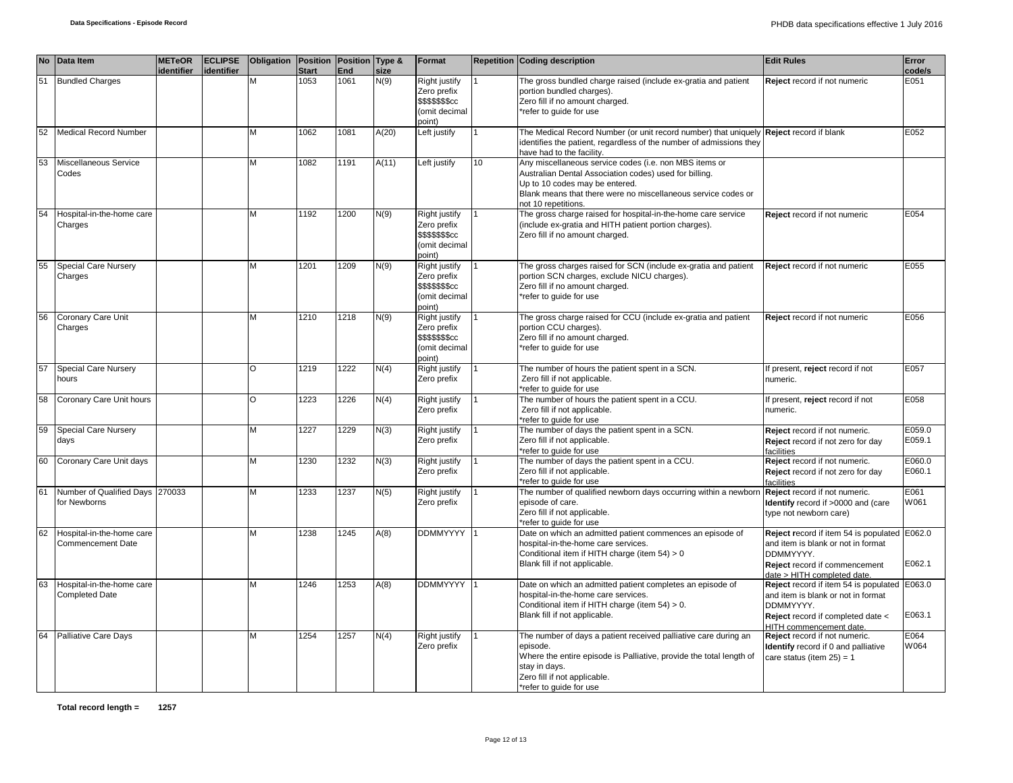|    | No Data Item                                          | <b>METeOR</b><br>dentifier | <b>ECLIPSE</b><br>identifier | Obligation | <b>Position Position Type &amp;</b><br><b>Start</b> | End  | size  | Format                                                                             |    | <b>Repetition Coding description</b>                                                                                                                                                                                                       | <b>Edit Rules</b>                                                                                                                                               | Error<br>code/s  |
|----|-------------------------------------------------------|----------------------------|------------------------------|------------|-----------------------------------------------------|------|-------|------------------------------------------------------------------------------------|----|--------------------------------------------------------------------------------------------------------------------------------------------------------------------------------------------------------------------------------------------|-----------------------------------------------------------------------------------------------------------------------------------------------------------------|------------------|
| 51 | <b>Bundled Charges</b>                                |                            |                              | M          | 1053                                                | 1061 | N(9)  | <b>Right justify</b><br>Zero prefix<br>\$\$\$\$\$\$\$cc<br>(omit decimal<br>point) |    | The gross bundled charge raised (include ex-gratia and patient<br>portion bundled charges).<br>Zero fill if no amount charged.<br>*refer to guide for use                                                                                  | Reject record if not numeric                                                                                                                                    | E051             |
| 52 | <b>Medical Record Number</b>                          |                            |                              | М          | 1062                                                | 1081 | A(20) | Left justify                                                                       |    | The Medical Record Number (or unit record number) that uniquely Reject record if blank<br>identifies the patient, regardless of the number of admissions they<br>have had to the facility.                                                 |                                                                                                                                                                 | E052             |
| 53 | Miscellaneous Service<br>Codes                        |                            |                              | M          | 1082                                                | 1191 | A(11) | Left justify                                                                       | 10 | Any miscellaneous service codes (i.e. non MBS items or<br>Australian Dental Association codes) used for billing.<br>Up to 10 codes may be entered.<br>Blank means that there were no miscellaneous service codes or<br>not 10 repetitions. |                                                                                                                                                                 |                  |
| 54 | Hospital-in-the-home care<br>Charges                  |                            |                              | М          | 1192                                                | 1200 | N(9)  | <b>Right justify</b><br>Zero prefix<br>\$\$\$\$\$\$\$cc<br>(omit decimal<br>(point |    | The gross charge raised for hospital-in-the-home care service<br>(include ex-gratia and HITH patient portion charges).<br>Zero fill if no amount charged.                                                                                  | Reject record if not numeric                                                                                                                                    | E054             |
| 55 | <b>Special Care Nursery</b><br>Charges                |                            |                              | M          | 1201                                                | 1209 | N(9)  | Right justify<br>Zero prefix<br>\$\$\$\$\$\$\$cc<br>(omit decimal<br>(point        |    | The gross charges raised for SCN (include ex-gratia and patient<br>portion SCN charges, exclude NICU charges).<br>Zero fill if no amount charged.<br>*refer to quide for use                                                               | Reject record if not numeric                                                                                                                                    | E055             |
| 56 | Coronary Care Unit<br>Charges                         |                            |                              | M          | 1210                                                | 1218 | N(9)  | Right justify<br>Zero prefix<br><b>\$\$\$\$\$\$\$cc</b><br>(omit decimal<br>point) |    | The gross charge raised for CCU (include ex-gratia and patient<br>portion CCU charges).<br>Zero fill if no amount charged.<br>*refer to quide for use                                                                                      | Reject record if not numeric                                                                                                                                    | E056             |
| 57 | <b>Special Care Nursery</b><br>hours                  |                            |                              | O          | 1219                                                | 1222 | N(4)  | Right justify<br>Zero prefix                                                       |    | The number of hours the patient spent in a SCN.<br>Zero fill if not applicable.<br>*refer to quide for use                                                                                                                                 | If present, reject record if not<br>numeric.                                                                                                                    | E057             |
| 58 | Coronary Care Unit hours                              |                            |                              | O          | 1223                                                | 1226 | N(4)  | Right justify<br>Zero prefix                                                       |    | The number of hours the patient spent in a CCU.<br>Zero fill if not applicable.<br>*refer to guide for use                                                                                                                                 | If present, reject record if not<br>numeric.                                                                                                                    | E058             |
| 59 | <b>Special Care Nursery</b><br>days                   |                            |                              | M          | 1227                                                | 1229 | N(3)  | Right justify<br>Zero prefix                                                       |    | The number of days the patient spent in a SCN.<br>Zero fill if not applicable.<br>*refer to guide for use                                                                                                                                  | Reject record if not numeric.<br>Reject record if not zero for day<br>facilities                                                                                | E059.0<br>E059.1 |
| 60 | Coronary Care Unit days                               |                            |                              | М          | 1230                                                | 1232 | N(3)  | Right justify<br>Zero prefix                                                       |    | The number of days the patient spent in a CCU.<br>Zero fill if not applicable.<br>*refer to quide for use                                                                                                                                  | Reject record if not numeric.<br>Reject record if not zero for day<br>facilities                                                                                | E060.0<br>E060.1 |
| 61 | Number of Qualified Days 270033<br>for Newborns       |                            |                              | М          | 1233                                                | 1237 | N(5)  | Right justify<br>Zero prefix                                                       |    | The number of qualified newborn days occurring within a newborr<br>episode of care.<br>Zero fill if not applicable.<br>*refer to quide for use                                                                                             | Reject record if not numeric.<br>Identify record if >0000 and (care<br>type not newborn care)                                                                   | E061<br>W061     |
| 62 | Hospital-in-the-home care<br><b>Commencement Date</b> |                            |                              | м          | 1238                                                | 1245 | A(8)  | DDMMYYYY                                                                           |    | Date on which an admitted patient commences an episode of<br>hospital-in-the-home care services.<br>Conditional item if HITH charge (item 54) > 0<br>Blank fill if not applicable.                                                         | Reject record if item 54 is populated E062.0<br>and item is blank or not in format<br>DDMMYYYY.<br>Reject record if commencement<br>date > HITH completed date. | E062.1           |
| 63 | Hospital-in-the-home care<br><b>Completed Date</b>    |                            |                              | M          | 1246                                                | 1253 | A(8)  | DDMMYYYY                                                                           |    | Date on which an admitted patient completes an episode of<br>hospital-in-the-home care services.<br>Conditional item if HITH charge (item 54) > 0.<br>Blank fill if not applicable.                                                        | Reject record if item 54 is populated<br>and item is blank or not in format<br>DDMMYYYY.<br>Reject record if completed date <<br><b>HITH commencement date.</b> | E063.0<br>E063.1 |
| 64 | <b>Palliative Care Days</b>                           |                            |                              | M          | 1254                                                | 1257 | N(4)  | <b>Right justify</b><br>Zero prefix                                                |    | The number of days a patient received palliative care during an<br>episode.<br>Where the entire episode is Palliative, provide the total length of<br>stay in days.<br>Zero fill if not applicable.<br>*refer to quide for use             | Reject record if not numeric.<br><b>Identify</b> record if 0 and palliative<br>care status (item $25$ ) = 1                                                     | E064<br>W064     |

**Total record length = 1257**